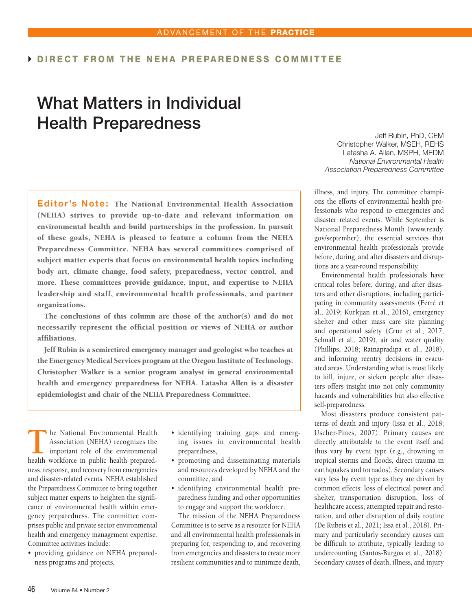## DIRECT FROM THE NEHA PREPAREDNESS COMMITTEE

# What Matters in Individual Health Preparedness

Editor's Note: The National Environmental Health Association (NEHA) strives to provide up-to-date and relevant information on environmental health and build partnerships in the profession. In pursuit of these goals, NEHA is pleased to feature a column from the NEHA Preparedness Committee. NEHA has several committees comprised of subject matter experts that focus on environmental health topics including body art, climate change, food safety, preparedness, vector control, and more. These committees provide guidance, input, and expertise to NEHA leadership and staff, environmental health professionals, and partner organizations.

The conclusions of this column are those of the author(s) and do not necessarily represent the official position or views of NEHA or author affiliations.

Jeff Rubin is a semiretired emergency manager and geologist who teaches at the Emergency Medical Services program at the Oregon Institute of Technology. Christopher Walker is a senior program analyst in general environmental health and emergency preparedness for NEHA. Latasha Allen is a disaster epidemiologist and chair of the NEHA Preparedness Committee.

**T**he National Environmental Health Association (NEHA) recognizes the important role of the environmental health workforce in public health preparedness, response, and recovery from emergencies and disaster-related events. NEHA established the Preparedness Committee to bring together subject matter experts to heighten the significance of environmental health within emergency preparedness. The committee comprises public and private sector environmental health and emergency management expertise. Committee activities include:

• providing guidance on NEHA preparedness programs and projects,

- identifying training gaps and emerging issues in environmental health preparedness,
- promoting and disseminating materials and resources developed by NEHA and the committee, and
- identifying environmental health preparedness funding and other opportunities to engage and support the workforce.

The mission of the NEHA Preparedness Committee is to serve as a resource for NEHA and all environmental health professionals in preparing for, responding to, and recovering from emergencies and disasters to create more resilient communities and to minimize death,

Jeff Rubin, PhD, CEM Christopher Walker, MSEH, REHS Latasha A. Allan, MSPH, MEDM *National Environmental Health Association Preparedness Committee*

illness, and injury. The committee champions the efforts of environmental health professionals who respond to emergencies and disaster related events. While September is National Preparedness Month (www.ready. gov/september), the essential services that environmental health professionals provide before, during, and after disasters and disruptions are a year-round responsibility.

Environmental health professionals have critical roles before, during, and after disasters and other disruptions, including participating in community assessments (Ferré et al., 2019; Kurkjian et al., 2016), emergency shelter and other mass care site planning and operational safety (Cruz et al., 2017; Schnall et al., 2019), air and water quality (Phillips, 2018; Ratnapradipa et al., 2018), and informing reentry decisions in evacuated areas. Understanding what is most likely to kill, injure, or sicken people after disasters offers insight into not only community hazards and vulnerabilities but also effective self-preparedness.

Most disasters produce consistent patterns of death and injury (Issa et al., 2018; Uscher-Pines, 2007). Primary causes are directly attributable to the event itself and thus vary by event type (e.g., drowning in tropical storms and floods, direct trauma in earthquakes and tornados). Secondary causes vary less by event type as they are driven by common effects: loss of electrical power and shelter, transportation disruption, loss of healthcare access, attempted repair and restoration, and other disruption of daily routine (De Rubeis et al., 2021; Issa et al., 2018). Primary and particularly secondary causes can be difficult to attribute, typically leading to undercounting (Santos-Burgoa et al., 2018). Secondary causes of death, illness, and injury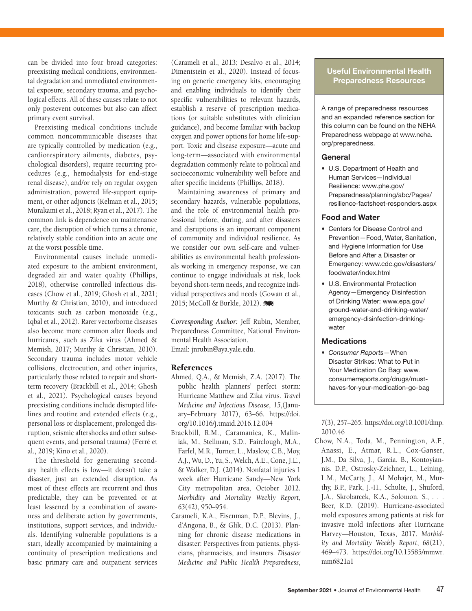can be divided into four broad categories: preexisting medical conditions, environmental degradation and unmediated environmental exposure, secondary trauma, and psychological effects. All of these causes relate to not only postevent outcomes but also can affect primary event survival.

Preexisting medical conditions include common noncommunicable diseases that are typically controlled by medication (e.g., cardiorespiratory ailments, diabetes, psychological disorders), require recurring procedures (e.g., hemodialysis for end-stage renal disease), and/or rely on regular oxygen administration, powered life-support equipment, or other adjuncts (Kelman et al., 2015; Murakami et al., 2018; Ryan et al., 2017). The common link is dependence on maintenance care, the disruption of which turns a chronic, relatively stable condition into an acute one at the worst possible time.

Environmental causes include unmediated exposure to the ambient environment, degraded air and water quality (Phillips, 2018), otherwise controlled infectious diseases (Chow et al., 2019; Ghosh et al., 2021; Murthy & Christian, 2010), and introduced toxicants such as carbon monoxide (e.g., Iqbal et al., 2012). Rarer vectorborne diseases also become more common after floods and hurricanes, such as Zika virus (Ahmed & Memish, 2017; Murthy & Christian, 2010). Secondary trauma includes motor vehicle collisions, electrocution, and other injuries, particularly those related to repair and shortterm recovery (Brackbill et al., 2014; Ghosh et al., 2021). Psychological causes beyond preexisting conditions include disrupted lifelines and routine and extended effects (e.g., personal loss or displacement, prolonged disruption, seismic aftershocks and other subsequent events, and personal trauma) (Ferré et al., 2019; Kino et al., 2020).

The threshold for generating secondary health effects is low—it doesn't take a disaster, just an extended disruption. As most of these effects are recurrent and thus predictable, they can be prevented or at least lessened by a combination of awareness and deliberate action by governments, institutions, support services, and individuals. Identifying vulnerable populations is a start, ideally accompanied by maintaining a continuity of prescription medications and basic primary care and outpatient services

(Carameli et al., 2013; Desalvo et al., 2014; Dimentstein et al., 2020). Instead of focusing on generic emergency kits, encouraging and enabling individuals to identify their specific vulnerabilities to relevant hazards, establish a reserve of prescription medications (or suitable substitutes with clinician guidance), and become familiar with backup oxygen and power options for home life-support. Toxic and disease exposure—acute and long-term—associated with environmental degradation commonly relate to political and socioeconomic vulnerability well before and after specific incidents (Phillips, 2018).

Maintaining awareness of primary and secondary hazards, vulnerable populations, and the role of environmental health professional before, during, and after disasters and disruptions is an important component of community and individual resilience. As we consider our own self-care and vulnerabilities as environmental health professionals working in emergency response, we can continue to engage individuals at risk, look beyond short-term needs, and recognize individual perspectives and needs (Gowan et al., 2015; McColl & Burkle, 2012).

*Corresponding Author:* Jeff Rubin, Member, Preparedness Committee, National Environmental Health Association. Email: jnrubin@aya.yale.edu.

### References

- Ahmed, Q.A., & Memish, Z.A. (2017). The public health planners' perfect storm: Hurricane Matthew and Zika virus. *Travel Medicine and Infectious Disease*, *15*,(January–February 2017), 63–66. https://doi. org/10.1016/j.tmaid.2016.12.004
- Brackbill, R.M., Caramanica, K., Maliniak, M., Stellman, S.D., Fairclough, M.A., Farfel, M.R., Turner, L., Maslow, C.B., Moy, A.J., Wu, D., Yu, S., Welch, A.E., Cone, J.E., & Walker, D.J. (2014). Nonfatal injuries 1 week after Hurricane Sandy—New York City metropolitan area, October 2012. *Morbidity and Mortality Weekly Report*, *63*(42), 950–954.
- Carameli, K.A., Eisenman, D.P., Blevins, J., d'Angona, B., & Glik, D.C. (2013). Planning for chronic disease medications in disaster: Perspectives from patients, physicians, pharmacists, and insurers. *Disaster Medicine and Public Health Preparedness*,

## Useful Environmental Health Preparedness Resources

A range of preparedness resources and an expanded reference section for this column can be found on the NEHA Preparedness webpage at www.neha. org/preparedness.

#### General

• U.S. Department of Health and Human Services—Individual Resilience: www.phe.gov/ Preparedness/planning/abc/Pages/ resilience-factsheet-responders.aspx

#### Food and Water

- Centers for Disease Control and Prevention—Food, Water, Sanitation, and Hygiene Information for Use Before and After a Disaster or Emergency: www.cdc.gov/disasters/ foodwater/index.html
- U.S. Environmental Protection Agency—Emergency Disinfection of Drinking Water: www.epa.gov/ ground-water-and-drinking-water/ emergency-disinfection-drinkingwater

## **Medications**

*• Consumer Reports*—When Disaster Strikes: What to Put in Your Medication Go Bag: www. consumerreports.org/drugs/musthaves-for-your-medication-go-bag

*7*(3), 257–265. https://doi.org/10.1001/dmp. 2010.46

Chow, N.A., Toda, M., Pennington, A.F., Anassi, E., Atmar, R.L., Cox-Ganser, J.M., Da Silva, J., Garcia, B., Kontoyiannis, D.P., Ostrosky-Zeichner, L., Leining, L.M., McCarty, J., Al Mohajer, M., Murthy, B.P., Park, J.-H., Schulte, J., Shuford, J.A., Skrobarcek, K.A., Solomon, S., . . . Beer, K.D. (2019). Hurricane-associated mold exposures among patients at risk for invasive mold infections after Hurricane Harvey—Houston, Texas, 2017. *Morbidity and Mortality Weekly Report*, *68*(21), 469–473. https://doi.org/10.15585/mmwr. mm6821a1